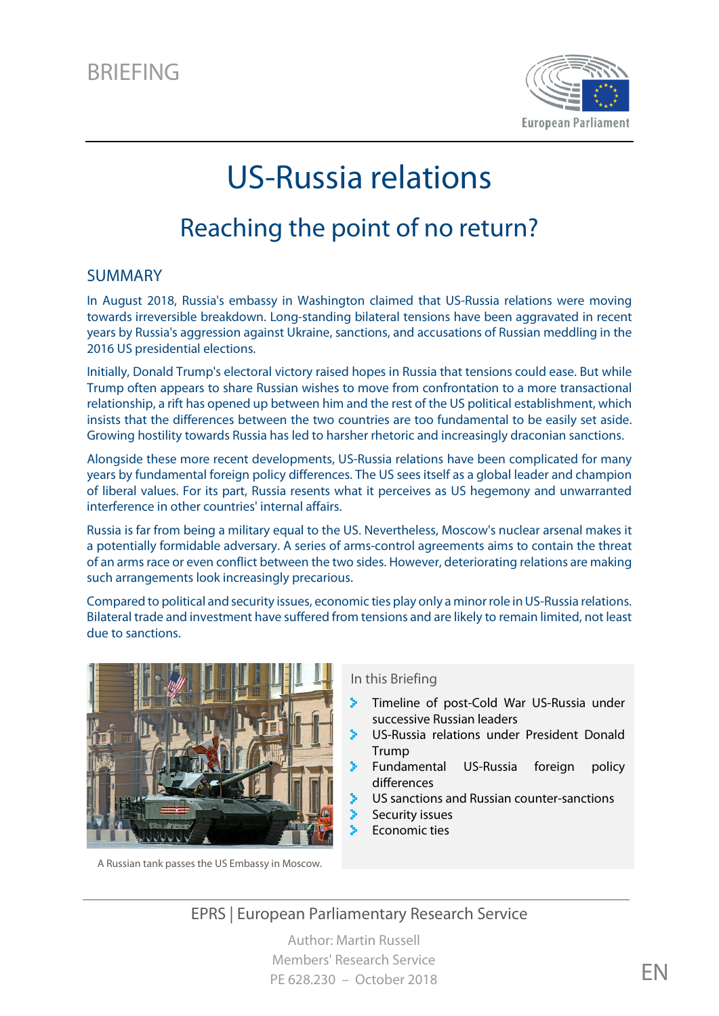

# US-Russia relations

# Reaching the point of no return?

#### SUMMARY

In August 2018, Russia's embassy in Washington claimed that US-Russia relations were moving towards irreversible breakdown. Long-standing bilateral tensions have been aggravated in recent years by Russia's aggression against Ukraine, sanctions, and accusations of Russian meddling in the 2016 US presidential elections.

Initially, Donald Trump's electoral victory raised hopes in Russia that tensions could ease. But while Trump often appears to share Russian wishes to move from confrontation to a more transactional relationship, a rift has opened up between him and the rest of the US political establishment, which insists that the differences between the two countries are too fundamental to be easily set aside. Growing hostility towards Russia has led to harsher rhetoric and increasingly draconian sanctions.

Alongside these more recent developments, US-Russia relations have been complicated for many years by fundamental foreign policy differences. The US sees itself as a global leader and champion of liberal values. For its part, Russia resents what it perceives as US hegemony and unwarranted interference in other countries' internal affairs.

Russia is far from being a military equal to the US. Nevertheless, Moscow's nuclear arsenal makes it a potentially formidable adversary. A series of arms-control agreements aims to contain the threat of an arms race or even conflict between the two sides. However, deteriorating relations are making such arrangements look increasingly precarious.

Compared to political and security issues, economic ties play only a minor role in US-Russia relations. Bilateral trade and investment have suffered from tensions and are likely to remain limited, not least due to sanctions.



A Russian tank passes the US Embassy in Moscow.

#### In this Briefing

- × [Timeline of post-Cold War US-Russia under](#page-1-0)  [successive Russian leaders](#page-1-0)
- S. [US-Russia relations under President Donald](#page-2-0)  [Trump](#page-2-0)
- [Fundamental US-Russia foreign policy](#page-3-0)  [differences](#page-3-0)
- [US sanctions and Russian counter-sanctions](#page-7-0)
- [Security issues](#page-8-0)
- [Economic ties](#page-10-0)

EPRS | European Parliamentary Research Service

Author: Martin Russell Members' Research Service PE 628.230 – October 2018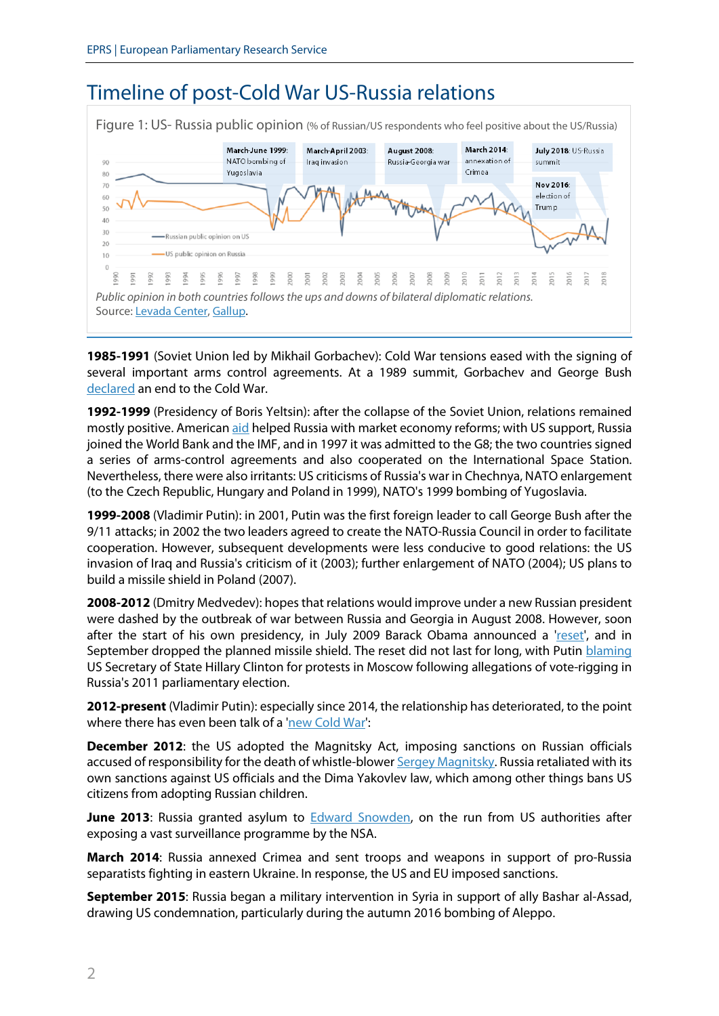# <span id="page-1-0"></span>Timeline of post-Cold War US-Russia relations

|                   | March-June 1999:<br>NATO bombing of<br>Yugoslavia                                             | March-April 2003:<br>Iraq invasion | August 2008:<br>Russia-Georgia war | March 2014:<br>annexation of<br>Crimea. | July 2018: US-Russia<br>summit     |
|-------------------|-----------------------------------------------------------------------------------------------|------------------------------------|------------------------------------|-----------------------------------------|------------------------------------|
|                   | -Russian public opinion on US<br>US public opinion on Russia                                  |                                    |                                    |                                         | Nov 2016:<br>election of<br>Trump. |
| 990<br>991<br>992 | Public opinion in both countries follows the ups and downs of bilateral diplomatic relations. |                                    |                                    |                                         |                                    |

**1985-1991** (Soviet Union led by Mikhail Gorbachev): Cold War tensions eased with the signing of several important arms control agreements. At a 1989 summit, Gorbachev and George Bush [declared](https://www.nytimes.com/1989/12/04/world/malta-summit-bush-gorbachev-proclaim-new-era-for-us-soviet-ties-agree-arms-trade.html?pagewanted=all) an end to the Cold War.

**1992-1999** (Presidency of Boris Yeltsin): after the collapse of the Soviet Union, relations remained mostly positive. American [aid](http://research.policyarchive.org/914.pdf) helped Russia with market economy reforms; with US support, Russia joined the World Bank and the IMF, and in 1997 it was admitted to the G8; the two countries signed a series of arms-control agreements and also cooperated on the International Space Station. Nevertheless, there were also irritants: US criticisms of Russia's war in Chechnya, NATO enlargement (to the Czech Republic, Hungary and Poland in 1999), NATO's 1999 bombing of Yugoslavia.

**1999-2008** (Vladimir Putin): in 2001, Putin was the first foreign leader to call George Bush after the 9/11 attacks; in 2002 the two leaders agreed to create the NATO-Russia Council in order to facilitate cooperation. However, subsequent developments were less conducive to good relations: the US invasion of Iraq and Russia's criticism of it (2003); further enlargement of NATO (2004); US plans to build a missile shield in Poland (2007).

**2008-2012** (Dmitry Medvedev): hopes that relations would improve under a new Russian president were dashed by the outbreak of war between Russia and Georgia in August 2008. However, soon after the start of his own presidency, in July 2009 Barack Obama announced a ['reset',](https://www.theguardian.com/world/2009/jul/07/barack-obama-russia-moscow-speech) and in September dropped the planned missile shield. The reset did not last for long, with Putin [blaming](https://www.theguardian.com/world/2011/dec/08/vladimir-putin-hillary-clinton-russia) US Secretary of State Hillary Clinton for protests in Moscow following allegations of vote-rigging in Russia's 2011 parliamentary election.

**2012-present** (Vladimir Putin): especially since 2014, the relationship has deteriorated, to the point where there has even been talk of [a 'new Cold War':](https://www.bbc.com/news/world-europe-43581449)

**December 2012:** the US adopted the Magnitsky Act, imposing sanctions on Russian officials accused of responsibility for the death of whistle-blower [Sergey Magnitsky.](https://www.bbc.com/news/world-europe-20626960) Russia retaliated with its own sanctions against US officials and the Dima Yakovlev law, which among other things bans US citizens from adopting Russian children.

**June 2013**: Russia granted asylum to **Edward Snowden**, on the run from US authorities after exposing a vast surveillance programme by the NSA.

**March 2014**: Russia annexed Crimea and sent troops and weapons in support of pro-Russia separatists fighting in eastern Ukraine. In response, the US and EU imposed sanctions.

**September 2015**: Russia began a military intervention in Syria in support of ally Bashar al-Assad, drawing US condemnation, particularly during the autumn 2016 bombing of Aleppo.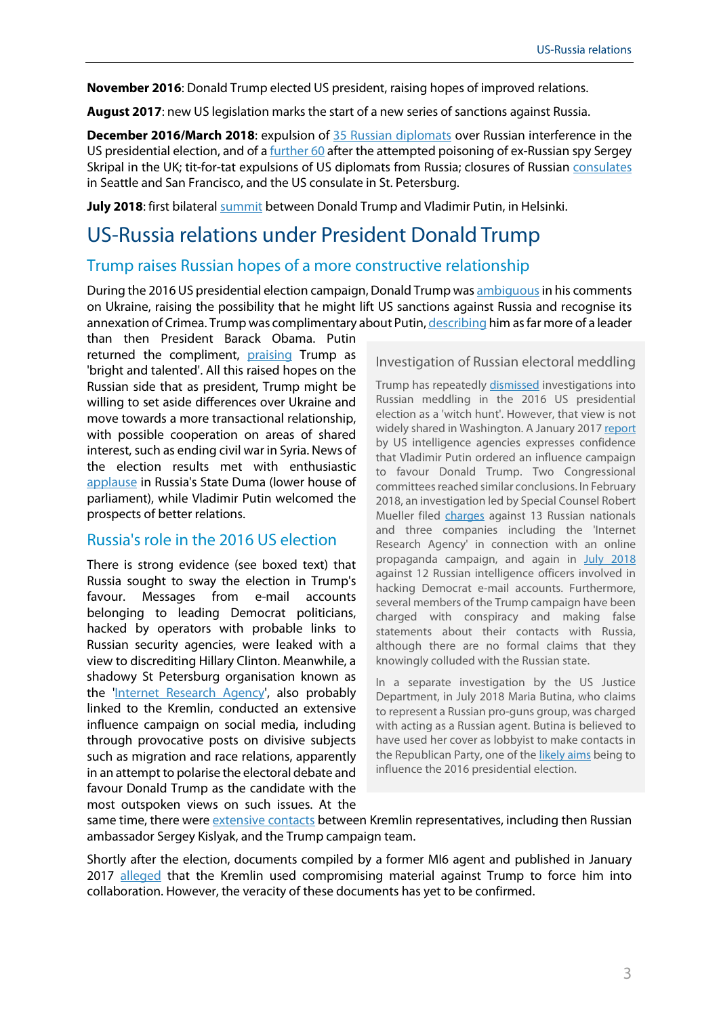**November 2016**: Donald Trump elected US president, raising hopes of improved relations.

**August 2017**: new US legislation marks the start of a new series of sanctions against Russia.

**December 2016/March 2018**: expulsion of [35 Russian diplomats](https://www.theguardian.com/us-news/2016/dec/29/barack-obama-sanctions-russia-election-hack) over Russian interference in the US presidential election, and of a **further 60** after the attempted poisoning of ex-Russian spy Sergey Skripal in the UK; tit-for-tat expulsions of US diplomats from Russia; closures of Russian [consulates](https://www.voanews.com/a/dueling-us-russia-consulate-closures-leave-ordinary-citizens-feeling-the-pain/4329312.html) in Seattle and San Francisco, and the US consulate in St. Petersburg.

**July 2018**: first bilatera[l summit](https://www.theguardian.com/us-news/live/2018/jul/16/trump-putin-summit-helsinki-russia-live) between Donald Trump and Vladimir Putin, in Helsinki.

### <span id="page-2-0"></span>US-Russia relations under President Donald Trump

#### Trump raises Russian hopes of a more constructive relationship

During the 2016 US presidential election campaign, Donald Trump wa[s ambiguousi](https://www.nytimes.com/2016/08/01/world/europe/ukraine-trump-crimea-politics.html)n his comments on Ukraine, raising the possibility that he might lift US sanctions against Russia and recognise its annexation of Crimea. Trump was complimentary about Putin[, describing](https://www.bbc.com/news/election-us-2016-37303057) him as far more of a leader

than then President Barack Obama. Putin returned the compliment, [praising](https://www.nbcnews.com/politics/2016-election/did-putin-really-call-trump-brilliant-experts-say-it-got-n644866) Trump as 'bright and talented'. All this raised hopes on the Russian side that as president, Trump might be willing to set aside differences over Ukraine and move towards a more transactional relationship, with possible cooperation on areas of shared interest, such as ending civil war in Syria. News of the election results met with enthusiastic [applause](https://www.bbc.com/news/election-us-2016-37928171) in Russia's State Duma (lower house of parliament), while Vladimir Putin welcomed the prospects of better relations.

#### Russia's role in the 2016 US election

There is strong evidence (see boxed text) that Russia sought to sway the election in Trump's favour. Messages from e-mail accounts belonging to leading Democrat politicians, hacked by operators with probable links to Russian security agencies, were leaked with a view to discrediting Hillary Clinton. Meanwhile, a shadowy St Petersburg organisation known as the ['Internet Research Agency',](http://www.europarl.europa.eu/RegData/etudes/ATAG/2018/614700/EPRS_ATA(2018)614700_EN.pdf) also probably linked to the Kremlin, conducted an extensive influence campaign on social media, including through provocative posts on divisive subjects such as migration and race relations, apparently in an attempt to polarise the electoral debate and favour Donald Trump as the candidate with the most outspoken views on such issues. At the

#### Investigation of Russian electoral meddling

Trump has repeatedl[y dismissed](https://www.huffingtonpost.co.za/entry/trump-dismisses-russia-probe-as-a-witch-hunt-but-mueller-keeps-finding-witches_us_5ace732ae4b0701783aaf993) investigations into Russian meddling in the 2016 US presidential election as a 'witch hunt'. However, that view is not widely shared in Washington. A January 201[7 report](https://www.nytimes.com/interactive/2017/01/06/us/politics/document-russia-hacking-report-intelligence-agencies.html) by US intelligence agencies expresses confidence that Vladimir Putin ordered an influence campaign to favour Donald Trump. Two Congressional committees reached similar conclusions. In February 2018, an investigation led by Special Counsel Robert Mueller filed [charges](https://www.justice.gov/file/1035477/download) against 13 Russian nationals and three companies including the 'Internet Research Agency' in connection with an online propaganda campaign, and again in [July 2018](https://www.politico.eu/article/mueller-probe-timeline-how-the-russian-hacks-unfolded/) against 12 Russian intelligence officers involved in hacking Democrat e-mail accounts. Furthermore, several members of the Trump campaign have been charged with conspiracy and making false statements about their contacts with Russia, although there are no formal claims that they knowingly colluded with the Russian state.

In a separate investigation by the US Justice Department, in July 2018 Maria Butina, who claims to represent a Russian pro-guns group, was charged with acting as a Russian agent. Butina is believed to have used her cover as lobbyist to make contacts in the Republican Party, one of th[e likely aims](https://www.washingtonpost.com/news/politics/wp/2018/07/16/timeline-the-odd-overlap-of-maria-butina-the-gun-rights-movement-and-the-2016-election/?utm_term=.62365d73a5c5) being to influence the 2016 presidential election.

same time, there were [extensive contacts](https://themoscowproject.org/explainers/trumps-russia-cover-up-by-the-numbers-70-contacts-with-russia-linked-operatives/) between Kremlin representatives, including then Russian ambassador Sergey Kislyak, and the Trump campaign team.

Shortly after the election, documents compiled by a former MI6 agent and published in January 2017 [alleged](https://www.newyorker.com/magazine/2018/03/12/christopher-steele-the-man-behind-the-trump-dossier) that the Kremlin used compromising material against Trump to force him into collaboration. However, the veracity of these documents has yet to be confirmed.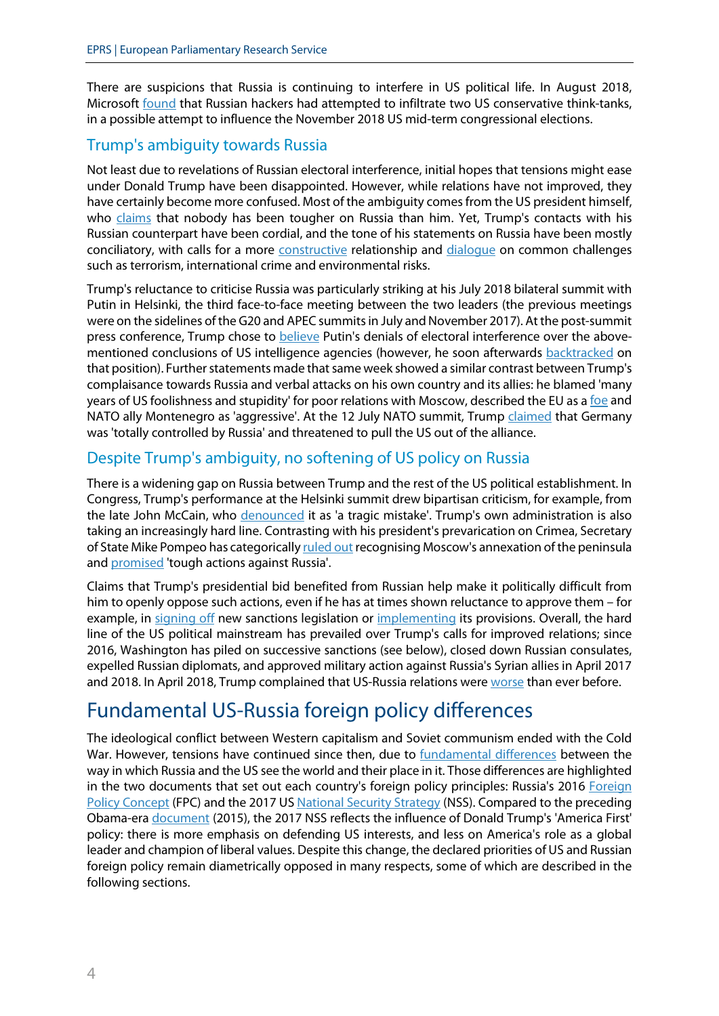There are suspicions that Russia is continuing to interfere in US political life. In August 2018, Microsoft [found](https://www.theguardian.com/us-news/2018/aug/21/russian-hackers-targeting-more-us-political-groups-microsoft-says) that Russian hackers had attempted to infiltrate two US conservative think-tanks, in a possible attempt to influence the November 2018 US mid-term congressional elections.

#### Trump's ambiguity towards Russia

Not least due to revelations of Russian electoral interference, initial hopes that tensions might ease under Donald Trump have been disappointed. However, while relations have not improved, they have certainly become more confused. Most of the ambiguity comes from the US president himself, who [claims](https://www.nbcchicago.com/news/politics/Trump-Sanction-Russia-Deserve-480188553.html) that nobody has been tougher on Russia than him. Yet, Trump's contacts with his Russian counterpart have been cordial, and the tone of his statements on Russia have been mostly conciliatory, with calls for a more [constructive](https://www.bbc.co.uk/news/world-us-canada-40549475) relationship and [dialogue](https://www.whitehouse.gov/briefings-statements/remarks-president-trump-president-putin-russian-federation-joint-press-conference/) on common challenges such as terrorism, international crime and environmental risks.

Trump's reluctance to criticise Russia was particularly striking at his July 2018 bilateral summit with Putin in Helsinki, the third face-to-face meeting between the two leaders (the previous meetings were on the sidelines of the G20 and APEC summits in July and November 2017). At the post-summit press conference, Trump chose to [believe](https://www.theatlantic.com/international/archive/2018/07/trump-putin/565238/) Putin's denials of electoral interference over the abovementioned conclusions of US intelligence agencies (however, he soon afterwards [backtracked](https://www.independent.co.uk/news/world/americas/us-politics/trump-election-2016-russia-meddling-putin-mueller-investigation-latest-a8451936.html) on that position). Further statements made that same week showed a similar contrast between Trump's complaisance towards Russia and verbal attacks on his own country and its allies: he blamed 'many years of US foolishness and stupidity' for poor relations with Moscow, described the EU as [a foe](http://time.com/5339167/trump-european-union-foe/) and NATO ally Montenegro as 'aggressive'. At the 12 July NATO summit, Trump [claimed](https://www.politico.eu/article/trump-threatens-to-pull-out-of-nato/) that Germany was 'totally controlled by Russia' and threatened to pull the US out of the alliance.

#### Despite Trump's ambiguity, no softening of US policy on Russia

There is a widening gap on Russia between Trump and the rest of the US political establishment. In Congress, Trump's performance at the Helsinki summit drew bipartisan criticism, for example, from the late John McCain, who [denounced](https://www.reuters.com/article/us-usa-russia-summit-mccain/senator-mccain-says-trump-summit-with-putin-tragic-mistake-idUSKBN1K62FN) it as 'a tragic mistake'. Trump's own administration is also taking an increasingly hard line. Contrasting with his president's prevarication on Crimea, Secretary of State Mike Pompeo has categoricall[y ruled](https://www.rferl.org/a/u-s-issues-crimea-declaration-reaffirming-rejection-of-russia-s-annexation/29390681.html) out recognising Moscow's annexation of the peninsula and [promised](https://www.foreign.senate.gov/imo/media/doc/072518_Pompeo_Testimony.pdf#page=3) 'tough actions against Russia'.

Claims that Trump's presidential bid benefited from Russian help make it politically difficult from him to openly oppose such actions, even if he has at times shown reluctance to approve them – for example, in [signing](https://www.whitehouse.gov/briefings-statements/statement-president-donald-j-trump-signing-countering-americas-adversaries-sanctions-act/) off new sanctions legislation or [implementing](https://www.reuters.com/article/us-usa-russia-sanctions/trump-administration-holds-off-on-new-russia-sanctions-despite-law-idUSKBN1FI2V7) its provisions. Overall, the hard line of the US political mainstream has prevailed over Trump's calls for improved relations; since 2016, Washington has piled on successive sanctions (see below), closed down Russian consulates, expelled Russian diplomats, and approved military action against Russia's Syrian allies in April 2017 and 2018. In April 2018, Trump complained that US-Russia relations were [worse](https://twitter.com/realdonaldtrump/status/984032798821568513) than ever before.

# <span id="page-3-0"></span>Fundamental US-Russia foreign policy differences

The ideological conflict between Western capitalism and Soviet communism ended with the Cold War. However, tensions have continued since then, due to [fundamental differences](https://www.politico.eu/article/vladimir-putin-russia-values-problem-for-united-states/) between the way in which Russia and the US see the world and their place in it. Those differences are highlighted in the two documents that set out each country's foreign policy principles: Russia's 2016 Foreign Policy Concept (FPC) and the 2017 US [National Security Strategy](https://www.whitehouse.gov/wp-content/uploads/2017/12/NSS-Final-12-18-2017-0905.pdf) (NSS). Compared to the preceding Obama-era [document](https://obamawhitehouse.archives.gov/sites/default/files/docs/2015_national_security_strategy_2.pdf) (2015), the 2017 NSS reflects the influence of Donald Trump's 'America First' policy: there is more emphasis on defending US interests, and less on America's role as a global leader and champion of liberal values. Despite this change, the declared priorities of US and Russian foreign policy remain diametrically opposed in many respects, some of which are described in the following sections.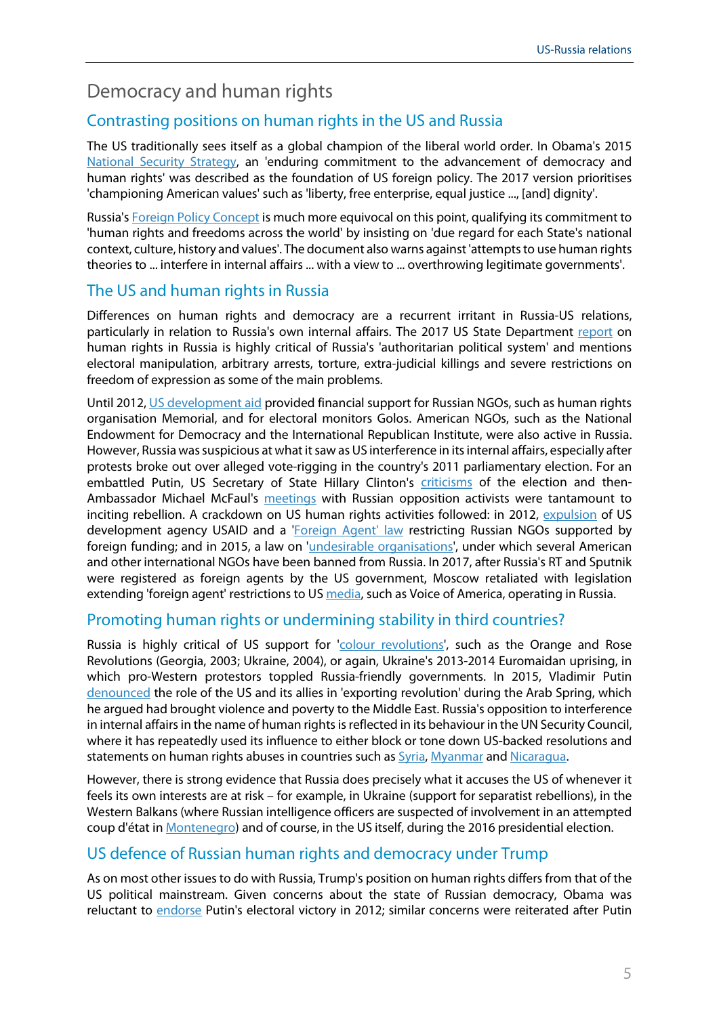## Democracy and human rights

#### Contrasting positions on human rights in the US and Russia

The US traditionally sees itself as a global champion of the liberal world order. In Obama's 2015 [National Security Strategy,](http://nssarchive.us/wp-content/uploads/2015/02/2015.pdf#page=4) an 'enduring commitment to the advancement of democracy and human rights' was described as the foundation of US foreign policy. The 2017 version prioritises 'championing American values' such as 'liberty, free enterprise, equal justice ..., [and] dignity'.

Russia's [Foreign Policy Concept](http://www.mid.ru/en/foreign_policy/official_documents/-/asset_publisher/CptICkB6BZ29/content/id/2542248) is much more equivocal on this point, qualifying its commitment to 'human rights and freedoms across the world' by insisting on 'due regard for each State's national context, culture, history and values'. The document also warns against 'attempts to use human rights theories to ... interfere in internal affairs ... with a view to ... overthrowing legitimate governments'.

#### The US and human rights in Russia

Differences on human rights and democracy are a recurrent irritant in Russia-US relations, particularly in relation to Russia's own internal affairs. The 2017 US State Department [report](https://www.state.gov/documents/organization/277455.pdf) on human rights in Russia is highly critical of Russia's 'authoritarian political system' and mentions electoral manipulation, arbitrary arrests, torture, extra-judicial killings and severe restrictions on freedom of expression as some of the main problems.

Until 2012[, US development aid](https://www.usaid.gov/news-information/fact-sheets/usaid-russia) provided financial support for Russian NGOs, such as human rights organisation Memorial, and for electoral monitors Golos. American NGOs, such as the National Endowment for Democracy and the International Republican Institute, were also active in Russia. However, Russia was suspicious at what it saw as US interference in its internal affairs, especially after protests broke out over alleged vote-rigging in the country's 2011 parliamentary election. For an embattled Putin, US Secretary of State Hillary Clinton's [criticisms](https://www.theguardian.com/world/2011/dec/08/vladimir-putin-hillary-clinton-russia) of the election and thenAmbassador Michael McFaul's [meetings](https://www.ft.com/content/ca50840e-4ef1-11e8-9471-a083af05aea7) with Russian opposition activists were tantamount to inciting rebellion. A crackdown on US human rights activities followed: in 2012, [expulsion](https://www.bbc.com/news/world-europe-19644897) of US development agency USAID and a ['Foreign Agent' law](https://www.hrw.org/russia-government-against-rights-groups-battle-chronicle) restricting Russian NGOs supported by foreign funding; and in 2015, a law on '*undesirable organisations*', under which several American and other international NGOs have been banned from Russia. In 2017, after Russia's RT and Sputnik were registered as foreign agents by the US government, Moscow retaliated with legislation extending 'foreign agent' restrictions to US [media,](https://www.bbc.com/news/world-europe-42234582) such as Voice of America, operating in Russia.

#### Promoting human rights or undermining stability in third countries?

Russia is highly critical of US support for ['colour revolutions',](https://www.csis.org/analysis/russia-and-%E2%80%9Ccolor-revolution%E2%80%9D) such as the Orange and Rose Revolutions (Georgia, 2003; Ukraine, 2004), or again, Ukraine's 2013-2014 Euromaidan uprising, in which pro-Western protestors toppled Russia-friendly governments. In 2015, Vladimir Putin [denounced](http://en.kremlin.ru/events/president/news/50385) the role of the US and its allies in 'exporting revolution' during the Arab Spring, which he argued had brought violence and poverty to the Middle East. Russia's opposition to interference in internal affairs in the name of human rights is reflected in its behaviour in the UN Security Council, where it has repeatedly used its influence to either block or tone down US-backed resolutions and statements on human rights abuses in countries such as **Syria**, [Myanmar](https://www.reuters.com/article/us-myanmar-rohingya-un/china-russia-block-u-n-council-concern-about-myanmar-violence-idUSKBN16O2J6) an[d Nicaragua.](https://www.france24.com/en/20180905-russia-un-accuses-us-destructive-meddling-nicaragua)

However, there is strong evidence that Russia does precisely what it accuses the US of whenever it feels its own interests are at risk – for example, in Ukraine (support for separatist rebellions), in the Western Balkans (where Russian intelligence officers are suspected of involvement in an attempted coup d'état i[n Montenegro\)](http://www.balkaninsight.com/en/article/witness-quotes-russian-connection-in-montenegro-coup-trial-10-26-2017) and of course, in the US itself, during the 2016 presidential election.

#### US defence of Russian human rights and democracy under Trump

As on most other issues to do with Russia, Trump's position on human rights differs from that of the US political mainstream. Given concerns about the state of Russian democracy, Obama was reluctant to [endorse](https://www.nytimes.com/2012/03/07/world/europe/ties-with-us-remain-strained-after-russian-election.html) Putin's electoral victory in 2012; similar concerns were reiterated after Putin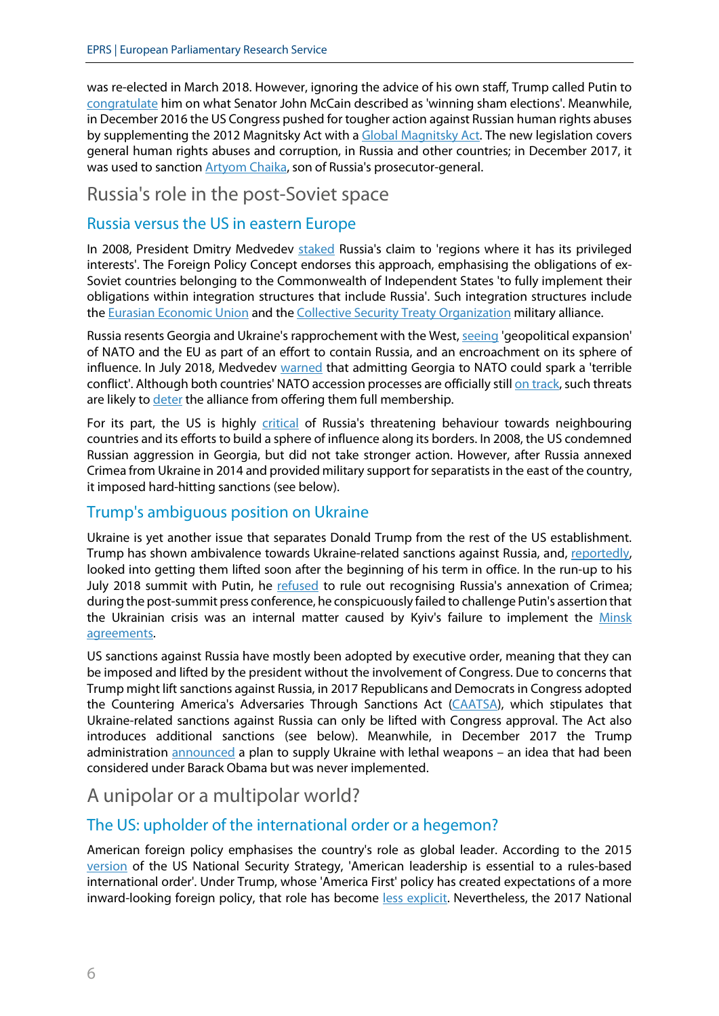was re-elected in March 2018. However, ignoring the advice of his own staff, Trump called Putin to [congratulate](https://www.theguardian.com/us-news/2018/mar/20/trump-congratulate-putin-election-victory) him on what Senator John McCain described as 'winning sham elections'. Meanwhile, in December 2016 the US Congress pushed for tougher action against Russian human rights abuses by supplementing the 2012 Magnitsky Act with a [Global Magnitsky Act.](https://www.hrw.org/news/2017/09/13/us-global-magnitsky-act) The new legislation covers general human rights abuses and corruption, in Russia and other countries; in December 2017, it was used to sanction **Artyom Chaika**, son of Russia's prosecutor-general.

#### Russia's role in the post-Soviet space

#### Russia versus the US in eastern Europe

In 2008, President Dmitry Medvedev [staked](http://news.bbc.co.uk/2/hi/europe/7591610.stm) Russia's claim to 'regions where it has its privileged interests'. The Foreign Policy Concept endorses this approach, emphasising the obligations of ex-Soviet countries belonging to the Commonwealth of Independent States 'to fully implement their obligations within integration structures that include Russia'. Such integration structures include the **Eurasian Economic Union and the [Collective Security Treaty Organization](https://worldview.stratfor.com/article/why-russias-military-alliance-not-next-nato) military alliance.** 

Russia resents Georgia and Ukraine's rapprochement with the West, [seeing](http://www.mid.ru/en/foreign_policy/official_documents/-/asset_publisher/CptICkB6BZ29/content/id/2542248) 'geopolitical expansion' of NATO and the EU as part of an effort to contain Russia, and an encroachment on its sphere of influence. In July 2018, Medvedev [warned](https://www.reuters.com/article/us-russia-nato-georgia/russian-pm-says-nato-admission-of-georgia-could-trigger-terrible-conflict-idUSKBN1KR1UQ) that admitting Georgia to NATO could spark a 'terrible conflict'. Although both countries' NATO accession processes are officially stil[l on track,](https://jamestown.org/program/nato-ukraine-georgia-summit-breaks-new-ground-despite-disruptions/) such threats are likely t[o deter](https://www.fpri.org/article/2016/07/georgias-nato-aspirations-rhetoric-reality/) the alliance from offering them full membership.

For its part, the US is highly [critical](https://www.whitehouse.gov/wp-content/uploads/2017/12/NSS-Final-12-18-2017-0905.pdf#page=57) of Russia's threatening behaviour towards neighbouring countries and its efforts to build a sphere of influence along its borders. In 2008, the US condemned Russian aggression in Georgia, but did not take stronger action. However, after Russia annexed Crimea from Ukraine in 2014 and provided military support for separatists in the east of the country, it imposed hard-hitting sanctions (see below).

#### Trump's ambiguous position on Ukraine

Ukraine is yet another issue that separates Donald Trump from the rest of the US establishment. Trump has shown ambivalence towards Ukraine-related sanctions against Russia, and, [reportedly,](http://uk.businessinsider.com/trump-wanted-to-lift-russia-sanctions-days-after-taking-office-2017-6?r=US&IR=T) looked into getting them lifted soon after the beginning of his term in office. In the run-up to his July 2018 summit with Putin, he [refused](https://www.rferl.org/a/trump-doesnt-rule-out-recognizing-russian-annexation-ukraine-crimean-peninsula/29328403.html) to rule out recognising Russia's annexation of Crimea; during the post-summit press conference, he conspicuously failed to challenge Putin's assertion that the Ukrainian crisis was an internal matter caused by Kyiv's failure to implement the [Minsk](http://www.europarl.europa.eu/RegData/etudes/BRIE/2016/573951/EPRS_BRI(2016)573951_EN.pdf)  [agreements.](http://www.europarl.europa.eu/RegData/etudes/BRIE/2016/573951/EPRS_BRI(2016)573951_EN.pdf)

US sanctions against Russia have mostly been adopted by executive order, meaning that they can be imposed and lifted by the president without the involvement of Congress. Due to concerns that Trump might lift sanctions against Russia, in 2017 Republicans and Democrats in Congress adopted the Countering America's Adversaries Through Sanctions Act [\(CAATSA\)](https://www.treasury.gov/resource-center/sanctions/Programs/Pages/caatsa.aspx), which stipulates that Ukraine-related sanctions against Russia can only be lifted with Congress approval. The Act also introduces additional sanctions (see below). Meanwhile, in December 2017 the Trump administration [announced](https://eu.usatoday.com/story/news/politics/2017/12/22/lethal-weapons-ukraine/978538001/) a plan to supply Ukraine with lethal weapons - an idea that had been considered under Barack Obama but was never implemented.

### A unipolar or a multipolar world?

#### The US: upholder of the international order or a hegemon?

American foreign policy emphasises the country's role as global leader. According to the 2015 [version](http://nssarchive.us/wp-content/uploads/2015/02/2015.pdf#page=4) of the US National Security Strategy, 'American leadership is essential to a rules-based international order'. Under Trump, whose 'America First' policy has created expectations of a more inward-looking foreign policy, that role has become [less explicit.](https://www.huffingtonpost.com/entry/a-retreat-from-us-global-leadership-that-will-cause_us_592436e5e4b0e8f558bb29da) Nevertheless, the 2017 National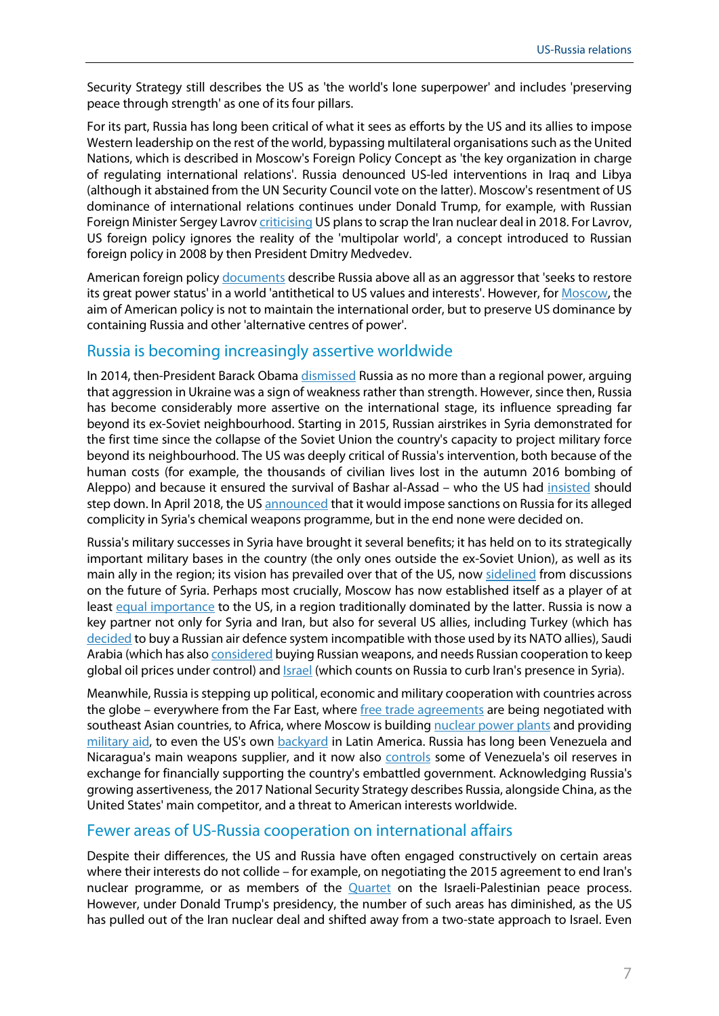Security Strategy still describes the US as 'the world's lone superpower' and includes 'preserving peace through strength' as one of its four pillars.

For its part, Russia has long been critical of what it sees as efforts by the US and its allies to impose Western leadership on the rest of the world, bypassing multilateral organisations such as the United Nations, which is described in Moscow's [Foreign Policy Concept](http://www.mid.ru/en/foreign_policy/official_documents/-/asset_publisher/CptICkB6BZ29/content/id/2542248) as 'the key organization in charge of regulating international relations'. Russia denounced US-led interventions in Iraq and Libya (although it abstained from the UN Security Council vote on the latter). Moscow's resentment of US dominance of international relations continues under Donald Trump, for example, with Russian Foreign Minister Sergey Lavrov [criticising](https://www.dw.com/en/russias-sergei-lavrov-slams-us-for-ignoring-multipolar-world/a-42150394) US plansto scrap the Iran nuclear deal in 2018. For Lavrov, US foreign policy ignores the reality of the 'multipolar world', a concept introduced to Russian foreign policy in 2008 by then President Dmitry Medvedev.

American foreign policy [documents](https://www.whitehouse.gov/wp-content/uploads/2017/12/NSS-Final-12-18-2017-0905.pdf) describe Russia above all as an aggressor that 'seeks to restore its great power status' in a world 'antithetical to US values and interests'. However, for [Moscow,](http://www.mid.ru/en/foreign_policy/official_documents/-/asset_publisher/CptICkB6BZ29/content/id/2542248) the aim of American policy is not to maintain the international order, but to preserve US dominance by containing Russia and other 'alternative centres of power'.

#### Russia is becoming increasingly assertive worldwide

In 2014, then-President Barack Obam[a dismissed](https://www.theguardian.com/world/2014/mar/25/barack-obama-russia-regional-power-ukraine-weakness) Russia as no more than a regional power, arguing that aggression in Ukraine was a sign of weakness rather than strength. However, since then, Russia has become considerably more assertive on the international stage, its influence spreading far beyond its ex-Soviet neighbourhood. Starting in 2015, Russian airstrikes in Syria demonstrated for the first time since the collapse of the Soviet Union the country's capacity to project military force beyond its neighbourhood. The US was deeply critical of Russia's intervention, both because of the human costs (for example, the thousands of civilian lives lost in the autumn 2016 bombing of Aleppo) and because it ensured the survival of Bashar al-Assad – who the US had [insisted](https://www.reuters.com/article/us-mideastcrisis-kerrytalks-idUSKCN0RJ0FX20150919) should step down. In April 2018, the U[S announced](https://www.nytimes.com/2018/04/16/us/politics/trump-rejects-sanctions-russia-syria.html) that it would impose sanctions on Russia for its alleged complicity in Syria's chemical weapons programme, but in the end none were decided on.

Russia's military successes in Syria have brought it several benefits; it has held on to its strategically important military bases in the country (the only ones outside the ex-Soviet Union), as well as its main ally in the region; its vision has prevailed over that of the US, now [sidelined](https://foreignpolicy.com/2018/08/07/trumps-post-isis-retreat-leaves-syria-vulnerable-to-russia-and-iran/?utm_source=PostUp&utm_medium=email&utm_campaign=Editors%20Picks%20%208/7/18%20-%20FP%20Guide&utm_keyword=Editor's%20Picks%20OC) from discussions on the future of Syria. Perhaps most crucially, Moscow has now established itself as a player of at least [equal importance](https://foreignpolicy.com/2018/03/16/the-middle-east-needs-a-steady-boyfriend/) to the US, in a region traditionally dominated by the latter. Russia is now a key partner not only for Syria and Iran, but also for several US allies, including Turkey (which has [decided](https://www.dw.com/en/turkey-needles-nato-by-buying-russian-weapons/a-40475465) to buy a Russian air defence system incompatible with those used by its NATO allies), Saudi Arabia (which has also [considered](https://www.bloomberg.com/news/articles/2018-03-02/saudis-want-to-make-their-own-weapons-russia-is-eager-to-help) buying Russian weapons, and needs Russian cooperation to keep global oil prices under control) and **Israel** (which counts on Russia to curb Iran's presence in Syria).

Meanwhile, Russia is stepping up political, economic and military cooperation with countries across the globe – everywhere from the Far East, where [free trade agreements](https://www.russia-briefing.com/news/advancing-russian-free-trade-asia-china-pacific.html/) are being negotiated with southeast Asian countries, to Africa, where Moscow is buildin[g nuclear power plants](https://www.bbc.com/news/world-africa-41818933) and providing [military aid,](https://www.euractiv.com/section/africa/news/central-africa-rebels-rearm-after-military-gets-russia-weapons/) to even the US's own [backyard](https://www.americasquarterly.org/content/russian-interests-venezuela-new-cold-war) in Latin America. Russia has long been Venezuela and Nicaragua's main weapons supplier, and it now also [controls](https://www.reuters.com/article/us-russia-venezuela-rosneft-pdvsa/venezuela-gives-russias-rosneft-gas-field-concessions-rosneft-idUSKBN1EB0JN) some of Venezuela's oil reserves in exchange for financially supporting the country's embattled government. Acknowledging Russia's growing assertiveness, the 2017 National Security Strategy describes Russia, alongside China, as the United States' main competitor, and a threat to American interests worldwide.

#### Fewer areas of US-Russia cooperation on international affairs

Despite their differences, the US and Russia have often engaged constructively on certain areas where their interests do not collide – for example, on negotiating the 2015 agreement to end Iran's nuclear programme, or as members of the **[Quartet](https://unsco.unmissions.org/mideast-quartet)** on the Israeli-Palestinian peace process. However, under Donald Trump's presidency, the number of such areas has diminished, as the US has pulled out of the Iran nuclear deal and shifted away from a two-state approach to Israel. Even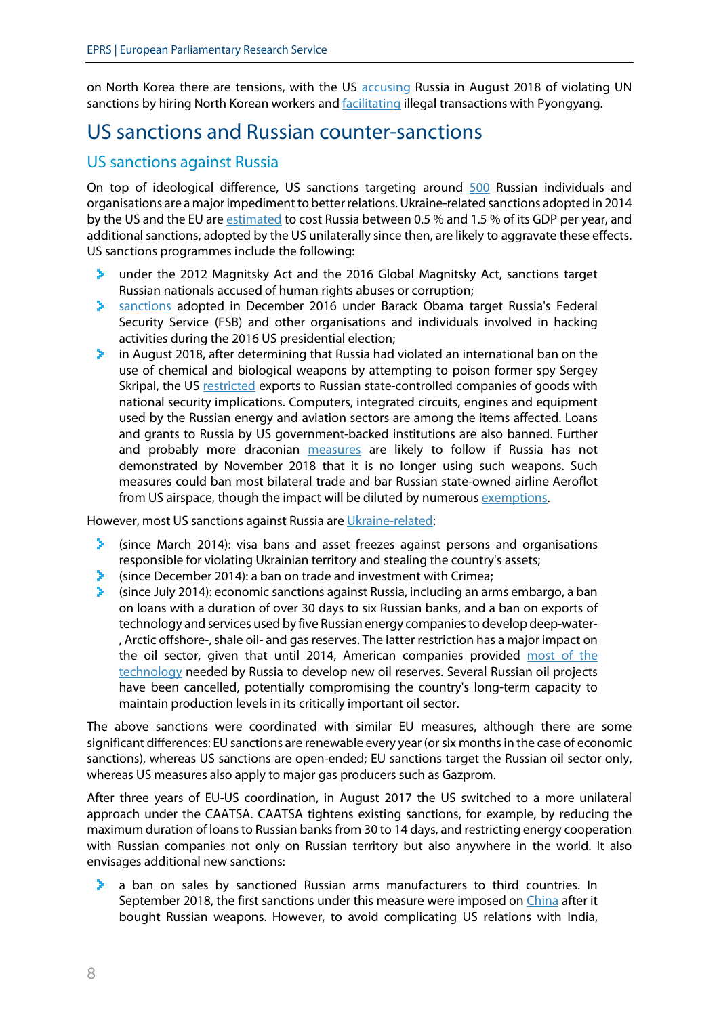on North Korea there are tensions, with the US [accusing](https://www.reuters.com/article/us-northkorea-russia/russia-allows-entry-of-thousands-of-north-korean-workers-wsj-idUSKBN1KO076) Russia in August 2018 of violating UN sanctions by hiring North Korean workers and **[facilitating](https://www.rferl.org/a/u-s-sanctions-russian-bank-north-korea-transactions/29410343.html) illegal transactions with Pyongyang.** 

### <span id="page-7-0"></span>US sanctions and Russian counter-sanctions

#### US sanctions against Russia

On top of ideological difference, US sanctions targeting around [500](https://sanctionssearch.ofac.treas.gov/) Russian individuals and organisations are a major impediment to better relations. Ukraine-related sanctions adopted in 2014 by the US and the EU ar[e estimated](http://www.europarl.europa.eu/RegData/etudes/BRIE/2018/614665/EPRS_BRI(2018)614665_EN.pdf#page=11) to cost Russia between 0.5 % and 1.5 % of its GDP per year, and additional sanctions, adopted by the US unilaterally since then, are likely to aggravate these effects. US sanctions programmes include the following:

- under the 2012 Magnitsky Act and the 2016 Global Magnitsky Act, sanctions target У. Russian nationals accused of human rights abuses or corruption;
- [sanctions](https://www.treasury.gov/resource-center/sanctions/Programs/Documents/cyber2_eo.pdf) adopted in December 2016 under Barack Obama target Russia's Federal Security Service (FSB) and other organisations and individuals involved in hacking activities during the 2016 US presidential election;
- ×. in August 2018, after determining that Russia had violated an international ban on the use of chemical and biological weapons by attempting to poison former spy Sergey Skripal, the US [restricted](https://www.theguardian.com/world/2018/aug/08/us-russia-sanctions-nerve-agent-attack-salisbury) exports to Russian state-controlled companies of goods with national security implications. Computers, integrated circuits, engines and equipment used by the Russian energy and aviation sectors are among the items affected. Loans and grants to Russia by US government-backed institutions are also banned. Further and probably more draconian [measures](https://dailybrief.oxan.com/Analysis/ES238065/Russia-worries-about-further-Skripal-sanctions) are likely to follow if Russia has not demonstrated by November 2018 that it is no longer using such weapons. Such measures could ban most bilateral trade and bar Russian state-owned airline Aeroflot from US airspace, though the impact will be diluted by numerous [exemptions.](https://dailybrief.oxan.com/Analysis/DB238343/US-sanctions-on-Russia-ratchet-up-with-limited-impact)

However, most US sanctions against Russia ar[e Ukraine-related:](https://www.state.gov/e/eb/tfs/spi/ukrainerussia/)

- (since March 2014): visa bans and asset freezes against persons and organisations У. responsible for violating Ukrainian territory and stealing the country's assets;
- (since December 2014): a ban on trade and investment with Crimea;
- (since July 2014): economic sanctions against Russia, including an arms embargo, a ban on loans with a duration of over 30 days to six Russian banks, and a ban on exports of technology and services used by five Russian energy companies to develop deep-water- , Arctic offshore-, shale oil- and gas reserves. The latter restriction has a major impact on the oil sector, given that until 2014, American companies provided [most of the](https://www.tandfonline.com/doi/full/10.1080/13567888.2015.1029240)  [technology](https://www.tandfonline.com/doi/full/10.1080/13567888.2015.1029240) needed by Russia to develop new oil reserves. Several Russian oil projects have been cancelled, potentially compromising the country's long-term capacity to maintain production levels in its critically important oil sector.

The above sanctions were coordinated with similar EU measures, although there are some significant differences: EU sanctions are renewable every year (or six months in the case of economic sanctions), whereas US sanctions are open-ended; EU sanctions target the Russian oil sector only, whereas US measures also apply to major gas producers such as Gazprom.

After three years of EU-US coordination, in August 2017 the US switched to a more unilateral approach under the [CAATSA.](https://www.treasury.gov/resource-center/sanctions/Programs/Pages/caatsa.aspx) CAATSA tightens existing sanctions, for example, by reducing the maximum duration of loans to Russian banks from 30 to 14 days, and restricting energy cooperation with Russian companies not only on Russian territory but also anywhere in the world. It also envisages additional new sanctions:

a ban on sales by sanctioned Russian arms manufacturers to third countries. In У. September 2018, the first sanctions under this measure were imposed on [China](https://www.msn.com/en-au/news/world/russia-warns-us-is-playing-with-fire-over-sanctions/ar-AAAqg71?li=BBnb7Kz) after it bought Russian weapons. However, to avoid complicating US relations with India,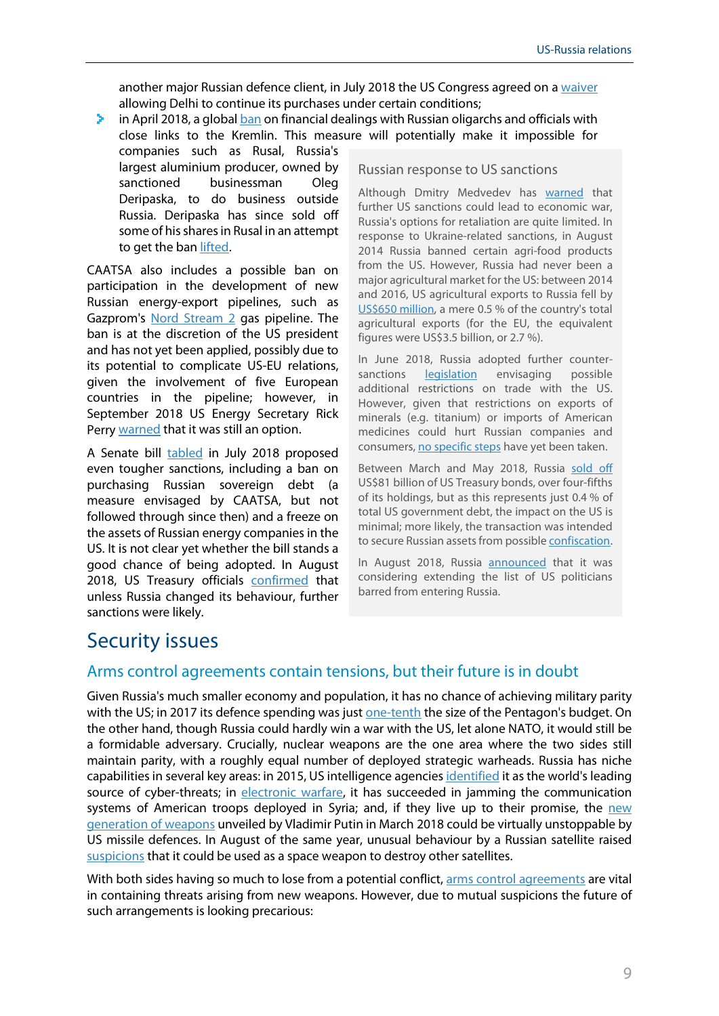another major Russian defence client, in July 2018 the US Congress agreed on [a waiver](http://uk.businessinsider.com/r-us-opens-way-for-india-to-escape-sanctions-over-russia-arms-imports-2018-7?r=US&IR=T) allowing Delhi to continue its purchases under certain conditions;

- У. in April 2018, a global [ban](https://www.reuters.com/article/us-usa-russia-sanctions-factbox/russian-businessmen-officials-on-new-u-s-sanctions-list-idUSKCN1HD22K) on financial dealings with Russian oligarchs and officials with close links to the Kremlin. This measure will potentially make it impossible for
- companies such as Rusal, Russia's largest aluminium producer, owned by sanctioned businessman Oleg Deripaska, to do business outside Russia. Deripaska has since sold off some of his shares in Rusal in an attempt to get the ba[n lifted.](https://dailybrief.oxan.com/Analysis/ES236538/US-Treasury-engages-with-some-sanctioned-Russian-firms)

CAATSA also includes a possible ban on participation in the development of new Russian energy-export pipelines, such as Gazprom's [Nord Stream 2](http://www.europarl.europa.eu/RegData/etudes/ATAG/2017/608629/EPRS_ATA%282017%29608629_EN.pdf) gas pipeline. The ban is at the discretion of the US president and has not yet been applied, possibly due to its potential to complicate US-EU relations, given the involvement of five European countries in the pipeline; however, in September 2018 US Energy Secretary Rick Perry [warned](https://www.rferl.org/a/us-warns-sanctions-possible-on-nord-stream-pipeline/29488617.html) that it was still an option.

A Senate bill [tabled](https://www.reuters.com/article/us-usa-russia-sanctions/senators-introduce-bill-with-new-russia-sanctions-idUSKBN1KN22Q) in July 2018 proposed even tougher sanctions, including a ban on purchasing Russian sovereign debt (a measure envisaged by CAATSA, but not followed through since then) and a freeze on the assets of Russian energy companies in the US. It is not clear yet whether the bill stands a good chance of being adopted. In August 2018, US Treasury officials [confirmed](https://af.reuters.com/article/commoditiesNews/idAFL2N1VC0LL) that unless Russia changed its behaviour, further sanctions were likely.

#### Russian response to US sanctions

Although Dmitry Medvedev has [warned](https://www.afp.com/en/news/205/further-us-sanctions-would-be-declaration-economic-war-medvedev-doc-1896211) that further US sanctions could lead to economic war, Russia's options for retaliation are quite limited. In response to Ukraine-related sanctions, in August 2014 Russia banned certain agri-food products from the US. However, Russia had never been a major agricultural market for the US: between 2014 and 2016, US agricultural exports to Russia fell by [US\\$650](https://agecon.unl.edu/cornhusker-economics/2017/russian-food-agricultural-import-ban) million, a mere 0.5 % of the country's total agricultural exports (for the EU, the equivalent figures were US\$3.5 billion, or 2.7 %).

In June 2018, Russia adopted further countersanctions **[legislation](https://www.bakermckenzie.com/en/insight/publications/2018/06/russia-introduces-new-counter-sanctions)** envisaging possible additional restrictions on trade with the US. However, given that restrictions on exports of minerals (e.g. titanium) or imports of American medicines could hurt Russian companies and consumers[, no specific steps](http://www.mondaq.com/russianfederation/x/724228/Export+controls+Trade+Investment+Sanctions/Response+To+US+Sanctions+Russia+May+Take+Moderate+Approach) have yet been taken.

Between March and May 2018, Russia [sold off](http://uk.businessinsider.com/russia-sells-us-treasuries-debt-2018-7?r=US&IR=T) US\$81 billion of US Treasury bonds, over four-fifths of its holdings, but as this represents just 0.4 % of total US government debt, the impact on the US is minimal; more likely, the transaction was intended to secure Russian assets from possibl[e confiscation.](https://www.bloomberg.com/news/articles/2018-07-20/putin-hedges-trump-bet-by-dumping-treasuries-to-safeguard-assets)

In August 2018, Russia [announced](https://www.reuters.com/article/us-usa-russia-sanctions-response/russia-says-all-options-on-table-for-response-to-u-s-sanctions-ifax-idUSKCN1L90NT) that it was considering extending the list of US politicians barred from entering Russia.

# <span id="page-8-0"></span>Security issues

#### Arms control agreements contain tensions, but their future is in doubt

Given Russia's much smaller economy and population, it has no chance of achieving military parity with the US; in 2017 its defence spending was just [one-tenth](https://www.sipri.org/databases/milex) the size of the Pentagon's budget. On the other hand, though Russia could hardly win a war with the US, let alone NATO, it would still be a formidable adversary. Crucially, nuclear weapons are the one area where the two sides still maintain parity, with a roughly equal number of deployed strategic warheads. Russia has niche capabilities in several key areas: in 2015, US intelligence agencie[s identified](https://www.bostonglobe.com/news/nation/2015/02/27/cyber-threats-expanding-new-intelligence-assessment-says/C6HbnYTXosMPoxD5obgQfP/story.html?hootPostID=0beef9e583d06e0a8b55104dd0f67924) it as the world's leading source of cyber-threats; in [electronic warfare,](https://foreignpolicy.com/2018/07/30/russian-jamming-poses-a-growing-threat-to-u-s-troops-in-syria/?utm_source=PostUp&utm_medium=email&utm_campaign=Editors%20Picks%207/30/2018%20-%20Notre%20Dame%20&utm_keyword=Editor's%20Picks%20OC) it has succeeded in jamming the communication systems of American troops deployed in Syria; and, if they live up to their promise, the [new](https://www.reuters.com/article/us-russia-usa-arms/days-after-helsinki-summit-russia-shows-off-putins-super-weapons-idUSKBN1K92HP)  [generation of weapons](https://www.reuters.com/article/us-russia-usa-arms/days-after-helsinki-summit-russia-shows-off-putins-super-weapons-idUSKBN1K92HP) unveiled by Vladimir Putin in March 2018 could be virtually unstoppable by US missile defences. In August of the same year, unusual behaviour by a Russian satellite raised [suspicions](https://www.popularmechanics.com/military/weapons/a22739471/is-russias-mysterious-new-satellite-a-space-weapon/) that it could be used as a space weapon to destroy other satellites.

With both sides having so much to lose from a potential conflict[, arms control](http://www.europarl.europa.eu/RegData/etudes/ATAG/2015/564353/EPRS_ATA%282015%29564353_EN.pdf) agreements are vital in containing threats arising from new weapons. However, due to mutual suspicions the future of such arrangements is looking precarious: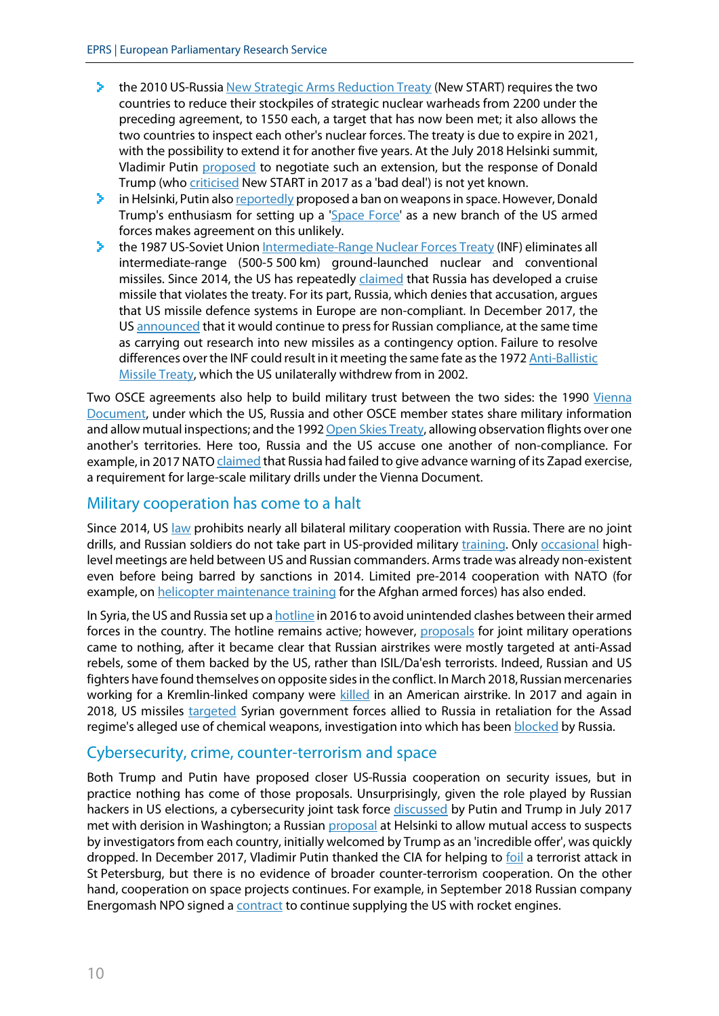- ×. the 2010 US-Russi[a New Strategic Arms Reduction Treaty](https://www.armscontrol.org/factsheets/NewSTART) (New START) requires the two countries to reduce their stockpiles of strategic nuclear warheads from 2200 under the preceding agreement, to 1550 each, a target that has now been met; it also allows the two countries to inspect each other's nuclear forces. The treaty is due to expire in 2021, with the possibility to extend it for another five years. At the July 2018 Helsinki summit, Vladimir Putin [proposed](https://www.reuters.com/article/us-usa-russia-summit-start/putin-says-he-told-trump-that-russia-prepared-to-extend-start-treaty-fox-news-idUSKBN1K62UU) to negotiate such an extension, but the response of Donald Trump (who [criticised](https://www.ucsusa.org/news/press_release/trump-reportedly-calls-new-start-agreement-bad-deal#.W2r_sL-zs7k) New START in 2017 as a 'bad deal') is not yet known.
- $\geq$  in Helsinki, Putin als[o reportedly](https://www.politico.eu/article/leaked-document-vladimir-putin-lobbied-donald-trump-on-arms-control-helsinki-summit/) proposed a ban on weapons in space. However, Donald Trump's enthusiasm for setting up a ['Space Force'](https://www.voanews.com/a/space-force-us-military/4508152.html) as a new branch of the US armed forces makes agreement on this unlikely.
- the 1987 US-Soviet Unio[n Intermediate-Range Nuclear](https://www.armscontrol.org/factsheets/INFtreaty) Forces Treaty (INF) eliminates all У. intermediate-range (500-5 500 km) ground-launched nuclear and conventional missiles. Since 2014, the US has repeatedly [claimed](https://www.state.gov/t/avc/rls/rpt/2017/270330.htm#INF%20TREATY) that Russia has developed a cruise missile that violates the treaty. For its part, Russia, which denies that accusation, argues that US missile defence systems in Europe are non-compliant. In December 2017, the U[S announced](https://www.state.gov/r/pa/prs/ps/2017/12/276363.htm) that it would continue to press for Russian compliance, at the same time as carrying out research into new missiles as a contingency option. Failure to resolve differences over the INF could result in it meeting the same fate asthe 197[2 Anti-Ballistic](https://www.armscontrol.org/factsheets/abmtreaty)  [Missile Treaty,](https://www.armscontrol.org/factsheets/abmtreaty) which the US unilaterally withdrew from in 2002.

Two OSCE agreements also help to build military trust between the two sides: the 1990 Vienna [Document,](https://www.osce.org/fsc/74528) under which the US, Russia and other OSCE member states share military information and allow mutual inspections; and the 199[2 Open Skies Treaty,](https://www.osce.org/library/14127) allowing observation flights over one another's territories. Here too, Russia and the US accuse one another of non-compliance. For example, in 2017 NAT[O claimed](https://www.reuters.com/article/us-nato-russia/nato-says-russia-misled-west-over-scale-of-zapad-war-games-idUSKBN1CV2K4) that Russia had failed to give advance warning of its Zapad exercise, a requirement for large-scale military drills under the Vienna Document.

#### Military cooperation has come to a halt

Since 2014, US [law](https://www.congress.gov/113/plaws/publ291/PLAW-113publ291.pdf#page=272) prohibits nearly all bilateral military cooperation with Russia. There are no joint drills, and Russian soldiers do not take part in US-provided military [training.](https://www.state.gov/documents/organization/265162.pdf) Only [occasional](https://www.independent.co.uk/news/world/europe/russia-us-finland-meeting-military-chiefs-issues-joseph-dunford-valery-gerasimov-a8387516.html) highlevel meetings are held between US and Russian commanders. Arms trade was already non-existent even before being barred by sanctions in 2014. Limited pre-2014 cooperation with NATO (for example, o[n helicopter maintenance training](https://www.nato.int/nrc-website/en/articles/2012-07-20-nrc-hmtf-narp-training/index.html) for the Afghan armed forces) has also ended.

In Syria, the US and Russia set up a [hotline](https://abcnews.go.com/Politics/us-russian-hotline-syria-strike-looms/story?id=54418142) in 2016 to avoid unintended clashes between their armed forces in the country. The hotline remains active; however, [proposals](https://www.reuters.com/article/us-mideast-crisis-russia-usa/russia-says-close-to-joint-military-action-with-u-s-in-aleppo-agencies-idUSKCN10Q176) for joint military operations came to nothing, after it became clear that Russian airstrikes were mostly targeted at anti-Assad rebels, some of them backed by the US, rather than ISIL/Da'esh terrorists. Indeed, Russian and US fighters have found themselves on opposite sides in the conflict. In March 2018, Russian mercenaries working for a Kremlin-linked company were [killed](https://www.independent.co.uk/news/world/middle-east/us-army-kill-russians-syria-civil-war-mercenaries-deir-ezzor-isis-a8268691.html) in an American airstrike. In 2017 and again in 2018, US missiles [targeted](https://www.nytimes.com/2018/04/13/world/middleeast/trump-strikes-syria-attack.html) Syrian government forces allied to Russia in retaliation for the Assad regime's alleged use of chemical weapons, investigation into which has been [blocked](https://www.news.com.au/world/middle-east/russia-blocks-investigation-of-syria-chemical-attack-site-reports-claim/news-story/c1fc0a8ab90abeee82f867fa8bd0b705) by Russia.

#### Cybersecurity, crime, counter-terrorism and space

Both Trump and Putin have proposed closer US-Russia cooperation on security issues, but in practice nothing has come of those proposals. Unsurprisingly, given the role played by Russian hackers in US elections, a cybersecurity joint task force [discussed](https://www.reuters.com/article/us-g-20-germany-putin-trump-cyber/russia-confirms-putin-trump-talk-on-joint-cyber-unit-idUSKBN19V0XU) by Putin and Trump in July 2017 met with derision in Washington; a Russian [proposal](https://www.cnbc.com/2018/07/19/trump-rejects-putins-incredible-offer-to-help-russia-interrogate-americans.html) at Helsinki to allow mutual access to suspects by investigators from each country, initially welcomed by Trump as an 'incredible offer', was quickly dropped. In December 2017, Vladimir Putin thanked the CIA for helping to [foil](https://www.bbc.com/news/world-europe-42386258) a terrorist attack in St Petersburg, but there is no evidence of broader counter-terrorism cooperation. On the other hand, cooperation on space projects continues. For example, in September 2018 Russian company Energomash NPO signed a **contract** to continue supplying the US with rocket engines.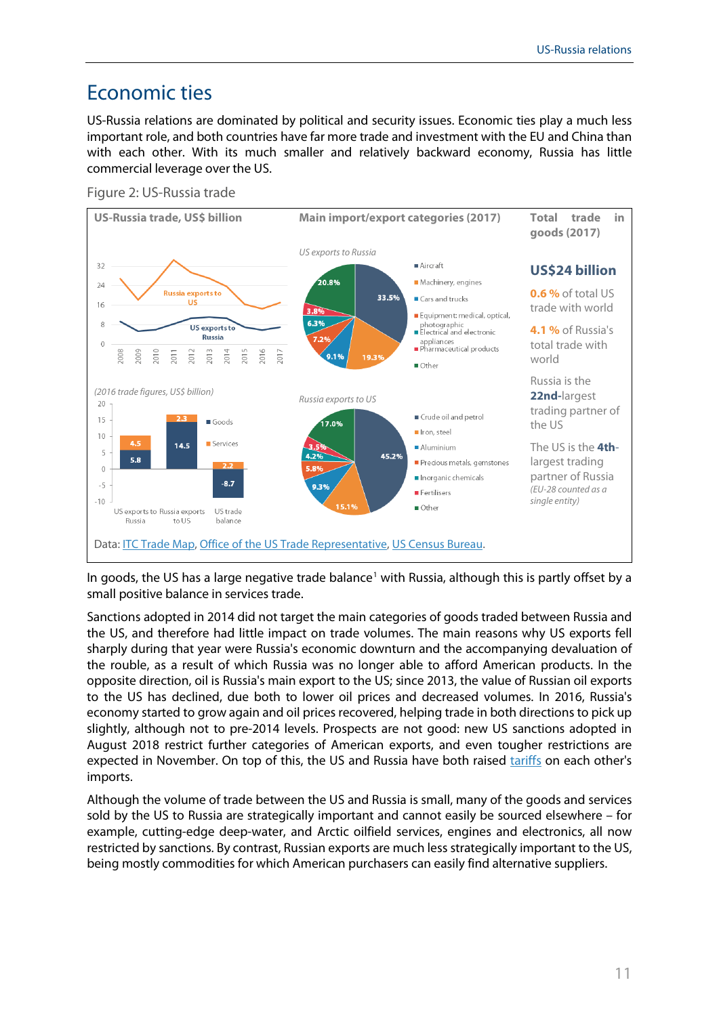# <span id="page-10-0"></span>Economic ties

US-Russia relations are dominated by political and security issues. Economic ties play a much less important role, and both countries have far more trade and investment with the EU and China than with each other. With its much smaller and relatively backward economy, Russia has little commercial leverage over the US.

Figure 2: US-Russia trade



In goods, the US has a large negative trade balance<sup>[1](#page-11-0)</sup> with Russia, although this is partly offset by a small positive balance in services trade.

Sanctions adopted in 2014 did not target the main categories of goods traded between Russia and the US, and therefore had little impact on trade volumes. The main reasons why US exports fell sharply during that year were Russia's economic downturn and the accompanying devaluation of the rouble, as a result of which Russia was no longer able to afford American products. In the opposite direction, oil is Russia's main export to the US; since 2013, the value of Russian oil exports to the US has declined, due both to lower oil prices and decreased volumes. In 2016, Russia's economy started to grow again and oil prices recovered, helping trade in both directions to pick up slightly, although not to pre-2014 levels. Prospects are not good: new US sanctions adopted in August 2018 restrict further categories of American exports, and even tougher restrictions are expected in November. On top of this, the US and Russia have both raised [tariffs](https://www.reuters.com/article/us-usa-trade-russia/u-s-goes-to-wto-to-challenge-russian-response-to-trumps-steel-tariffs-idUSKCN1LE1OK) on each other's imports.

Although the volume of trade between the US and Russia is small, many of the goods and services sold by the US to Russia are strategically important and cannot easily be sourced elsewhere – for example, cutting-edge deep-water, and Arctic oilfield services, engines and electronics, all now restricted by sanctions. By contrast, Russian exports are much less strategically important to the US, being mostly commodities for which American purchasers can easily find alternative suppliers.